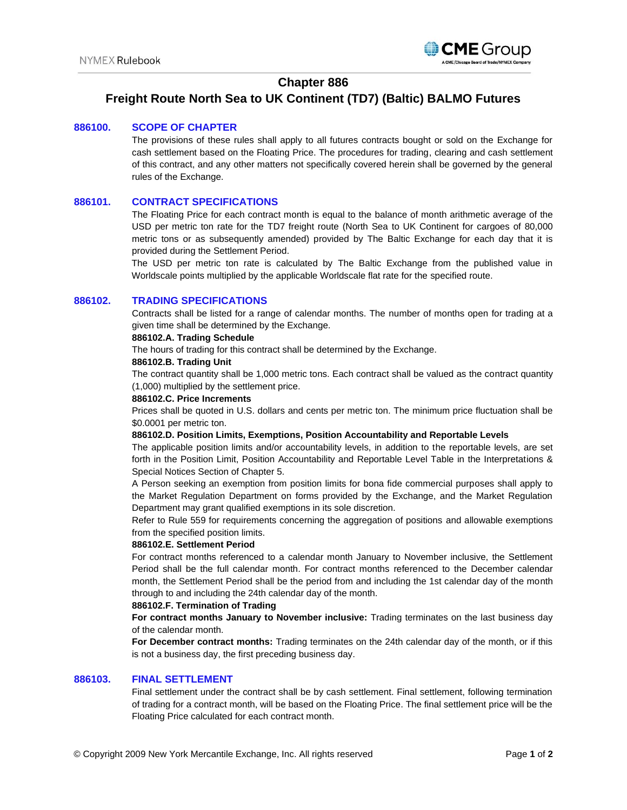

# **Chapter 886**

# **Freight Route North Sea to UK Continent (TD7) (Baltic) BALMO Futures**

### **886100. SCOPE OF CHAPTER**

The provisions of these rules shall apply to all futures contracts bought or sold on the Exchange for cash settlement based on the Floating Price. The procedures for trading, clearing and cash settlement of this contract, and any other matters not specifically covered herein shall be governed by the general rules of the Exchange.

### **886101. CONTRACT SPECIFICATIONS**

The Floating Price for each contract month is equal to the balance of month arithmetic average of the USD per metric ton rate for the TD7 freight route (North Sea to UK Continent for cargoes of 80,000 metric tons or as subsequently amended) provided by The Baltic Exchange for each day that it is provided during the Settlement Period.

The USD per metric ton rate is calculated by The Baltic Exchange from the published value in Worldscale points multiplied by the applicable Worldscale flat rate for the specified route.

#### **886102. TRADING SPECIFICATIONS**

Contracts shall be listed for a range of calendar months. The number of months open for trading at a given time shall be determined by the Exchange.

#### **886102.A. Trading Schedule**

The hours of trading for this contract shall be determined by the Exchange.

#### **886102.B. Trading Unit**

The contract quantity shall be 1,000 metric tons. Each contract shall be valued as the contract quantity (1,000) multiplied by the settlement price.

#### **886102.C. Price Increments**

Prices shall be quoted in U.S. dollars and cents per metric ton. The minimum price fluctuation shall be \$0.0001 per metric ton.

#### **886102.D. Position Limits, Exemptions, Position Accountability and Reportable Levels**

The applicable position limits and/or accountability levels, in addition to the reportable levels, are set forth in the Position Limit, Position Accountability and Reportable Level Table in the Interpretations & Special Notices Section of Chapter 5.

A Person seeking an exemption from position limits for bona fide commercial purposes shall apply to the Market Regulation Department on forms provided by the Exchange, and the Market Regulation Department may grant qualified exemptions in its sole discretion.

Refer to Rule 559 for requirements concerning the aggregation of positions and allowable exemptions from the specified position limits.

#### **886102.E. Settlement Period**

For contract months referenced to a calendar month January to November inclusive, the Settlement Period shall be the full calendar month. For contract months referenced to the December calendar month, the Settlement Period shall be the period from and including the 1st calendar day of the month through to and including the 24th calendar day of the month.

#### **886102.F. Termination of Trading**

**For contract months January to November inclusive:** Trading terminates on the last business day of the calendar month.

**For December contract months:** Trading terminates on the 24th calendar day of the month, or if this is not a business day, the first preceding business day.

### **886103. FINAL SETTLEMENT**

Final settlement under the contract shall be by cash settlement. Final settlement, following termination of trading for a contract month, will be based on the Floating Price. The final settlement price will be the Floating Price calculated for each contract month.